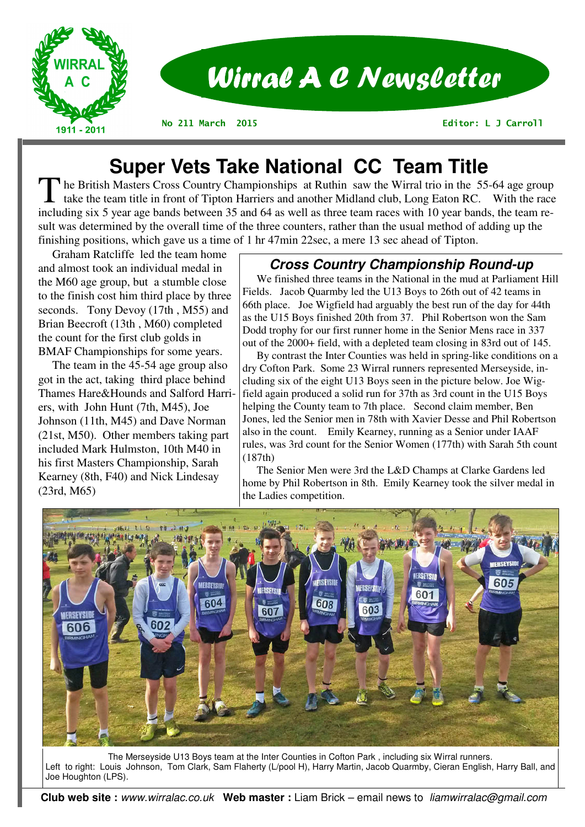

# **Super Vets Take National CC Team Title**

The British Masters Cross Country Championships at Ruthin saw the Wirral trio in the 55-64 age group take the team title in front of Tipton Harriers and another Midland club, Long Eaton RC. With the race including six 5 year age bands between 35 and 64 as well as three team races with 10 year bands, the team result was determined by the overall time of the three counters, rather than the usual method of adding up the finishing positions, which gave us a time of 1 hr 47min 22sec, a mere 13 sec ahead of Tipton.

 Graham Ratcliffe led the team home and almost took an individual medal in the M60 age group, but a stumble close to the finish cost him third place by three seconds. Tony Devoy (17th , M55) and Brian Beecroft (13th , M60) completed the count for the first club golds in BMAF Championships for some years.

 The team in the 45-54 age group also got in the act, taking third place behind Thames Hare&Hounds and Salford Harriers, with John Hunt (7th, M45), Joe Johnson (11th, M45) and Dave Norman (21st, M50). Other members taking part included Mark Hulmston, 10th M40 in his first Masters Championship, Sarah Kearney (8th, F40) and Nick Lindesay (23rd, M65)

## **Cross Country Championship Round-up**

 We finished three teams in the National in the mud at Parliament Hill Fields. Jacob Quarmby led the U13 Boys to 26th out of 42 teams in 66th place. Joe Wigfield had arguably the best run of the day for 44th as the U15 Boys finished 20th from 37. Phil Robertson won the Sam Dodd trophy for our first runner home in the Senior Mens race in 337 out of the 2000+ field, with a depleted team closing in 83rd out of 145.

 By contrast the Inter Counties was held in spring-like conditions on a dry Cofton Park. Some 23 Wirral runners represented Merseyside, including six of the eight U13 Boys seen in the picture below. Joe Wigfield again produced a solid run for 37th as 3rd count in the U15 Boys helping the County team to 7th place. Second claim member, Ben Jones, led the Senior men in 78th with Xavier Desse and Phil Robertson also in the count. Emily Kearney, running as a Senior under IAAF rules, was 3rd count for the Senior Women (177th) with Sarah 5th count (187th)

 The Senior Men were 3rd the L&D Champs at Clarke Gardens led home by Phil Robertson in 8th. Emily Kearney took the silver medal in the Ladies competition.



The Merseyside U13 Boys team at the Inter Counties in Cofton Park , including six Wirral runners. Left to right: Louis Johnson, Tom Clark, Sam Flaherty (L/pool H), Harry Martin, Jacob Quarmby, Cieran English, Harry Ball, and Joe Houghton (LPS).